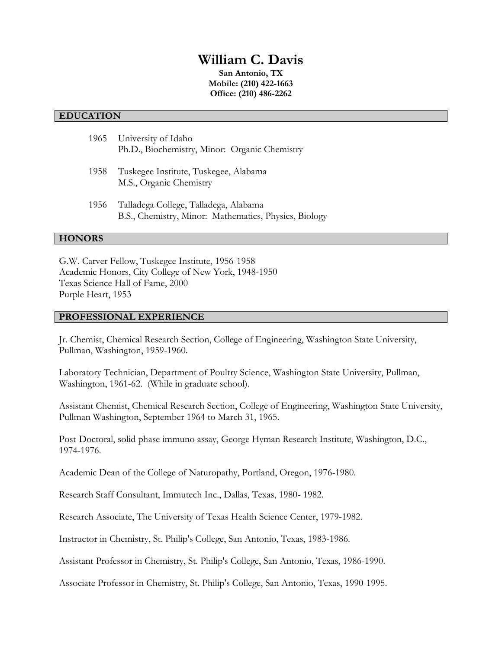# **William C. Davis**

**San Antonio, TX Mobile: (210) 422-1663 Office: (210) 486-2262**

## **EDUCATION**

|      | 1965 University of Idaho<br>Ph.D., Biochemistry, Minor: Organic Chemistry                      |
|------|------------------------------------------------------------------------------------------------|
| 1958 | Tuskegee Institute, Tuskegee, Alabama<br>M.S., Organic Chemistry                               |
| 1956 | Talladega College, Talladega, Alabama<br>B.S., Chemistry, Minor: Mathematics, Physics, Biology |

## **HONORS**

G.W. Carver Fellow, Tuskegee Institute, 1956-1958 Academic Honors, City College of New York, 1948-1950 Texas Science Hall of Fame, 2000 Purple Heart, 1953

#### **PROFESSIONAL EXPERIENCE**

Jr. Chemist, Chemical Research Section, College of Engineering, Washington State University, Pullman, Washington, 1959-1960.

Laboratory Technician, Department of Poultry Science, Washington State University, Pullman, Washington, 1961-62. (While in graduate school).

Assistant Chemist, Chemical Research Section, College of Engineering, Washington State University, Pullman Washington, September 1964 to March 31, 1965.

Post-Doctoral, solid phase immuno assay, George Hyman Research Institute, Washington, D.C., 1974-1976.

Academic Dean of the College of Naturopathy, Portland, Oregon, 1976-1980.

Research Staff Consultant, Immutech Inc., Dallas, Texas, 1980- 1982.

Research Associate, The University of Texas Health Science Center, 1979-1982.

Instructor in Chemistry, St. Philip's College, San Antonio, Texas, 1983-1986.

Assistant Professor in Chemistry, St. Philip's College, San Antonio, Texas, 1986-1990.

Associate Professor in Chemistry, St. Philip's College, San Antonio, Texas, 1990-1995.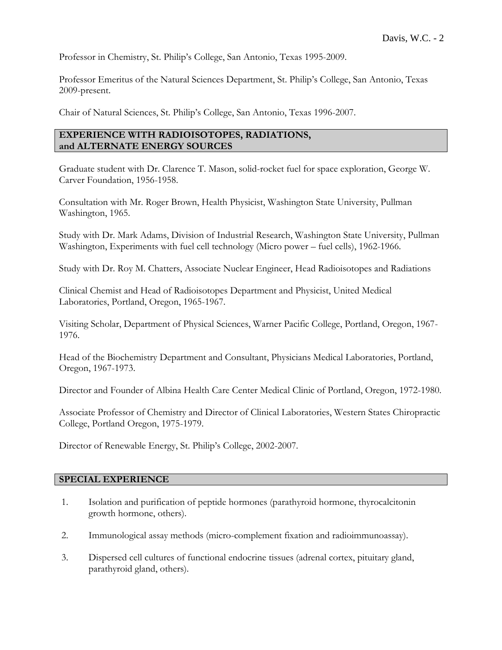Professor in Chemistry, St. Philip's College, San Antonio, Texas 1995-2009.

Professor Emeritus of the Natural Sciences Department, St. Philip's College, San Antonio, Texas 2009-present.

Chair of Natural Sciences, St. Philip's College, San Antonio, Texas 1996-2007.

# **EXPERIENCE WITH RADIOISOTOPES, RADIATIONS, and ALTERNATE ENERGY SOURCES**

Graduate student with Dr. Clarence T. Mason, solid-rocket fuel for space exploration, George W. Carver Foundation, 1956-1958.

Consultation with Mr. Roger Brown, Health Physicist, Washington State University, Pullman Washington, 1965.

Study with Dr. Mark Adams, Division of Industrial Research, Washington State University, Pullman Washington, Experiments with fuel cell technology (Micro power – fuel cells), 1962-1966.

Study with Dr. Roy M. Chatters, Associate Nuclear Engineer, Head Radioisotopes and Radiations

Clinical Chemist and Head of Radioisotopes Department and Physicist, United Medical Laboratories, Portland, Oregon, 1965-1967.

Visiting Scholar, Department of Physical Sciences, Warner Pacific College, Portland, Oregon, 1967- 1976.

Head of the Biochemistry Department and Consultant, Physicians Medical Laboratories, Portland, Oregon, 1967-1973.

Director and Founder of Albina Health Care Center Medical Clinic of Portland, Oregon, 1972-1980.

Associate Professor of Chemistry and Director of Clinical Laboratories, Western States Chiropractic College, Portland Oregon, 1975-1979.

Director of Renewable Energy, St. Philip's College, 2002-2007.

## **SPECIAL EXPERIENCE**

- 1. Isolation and purification of peptide hormones (parathyroid hormone, thyrocalcitonin growth hormone, others).
- 2. Immunological assay methods (micro-complement fixation and radioimmunoassay).
- 3. Dispersed cell cultures of functional endocrine tissues (adrenal cortex, pituitary gland, parathyroid gland, others).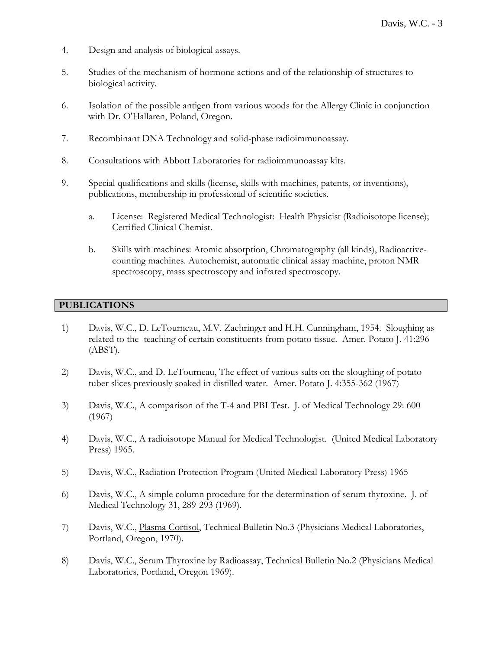- 4. Design and analysis of biological assays.
- 5. Studies of the mechanism of hormone actions and of the relationship of structures to biological activity.
- 6. Isolation of the possible antigen from various woods for the Allergy Clinic in conjunction with Dr. O'Hallaren, Poland, Oregon.
- 7. Recombinant DNA Technology and solid-phase radioimmunoassay.
- 8. Consultations with Abbott Laboratories for radioimmunoassay kits.
- 9. Special qualifications and skills (license, skills with machines, patents, or inventions), publications, membership in professional of scientific societies.
	- a. License: Registered Medical Technologist: Health Physicist (Radioisotope license); Certified Clinical Chemist.
	- b. Skills with machines: Atomic absorption, Chromatography (all kinds), Radioactivecounting machines. Autochemist, automatic clinical assay machine, proton NMR spectroscopy, mass spectroscopy and infrared spectroscopy.

# **PUBLICATIONS**

- 1) Davis, W.C., D. LeTourneau, M.V. Zaehringer and H.H. Cunningham, 1954. Sloughing as related to the teaching of certain constituents from potato tissue. Amer. Potato J. 41:296 (ABST).
- 2) Davis, W.C., and D. LeTourneau, The effect of various salts on the sloughing of potato tuber slices previously soaked in distilled water. Amer. Potato J. 4:355-362 (1967)
- 3) Davis, W.C., A comparison of the T-4 and PBI Test. J. of Medical Technology 29: 600 (1967)
- 4) Davis, W.C., A radioisotope Manual for Medical Technologist. (United Medical Laboratory Press) 1965.
- 5) Davis, W.C., Radiation Protection Program (United Medical Laboratory Press) 1965
- 6) Davis, W.C., A simple column procedure for the determination of serum thyroxine. J. of Medical Technology 31, 289-293 (1969).
- 7) Davis, W.C., Plasma Cortisol, Technical Bulletin No.3 (Physicians Medical Laboratories, Portland, Oregon, 1970).
- 8) Davis, W.C., Serum Thyroxine by Radioassay, Technical Bulletin No.2 (Physicians Medical Laboratories, Portland, Oregon 1969).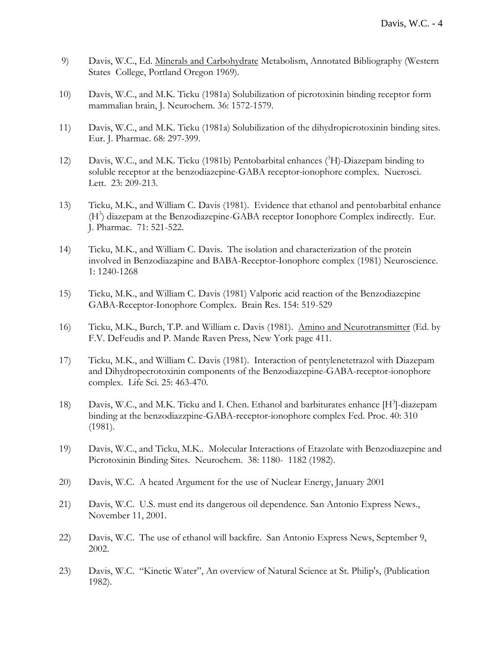- 9) Davis, W.C., Ed. Minerals and Carbohydrate Metabolism, Annotated Bibliography (Western States College, Portland Oregon 1969).
- 10) Davis, W.C., and M.K. Ticku (1981a) Solubilization of picrotoxinin binding receptor form mammalian brain, J. Neurochem. 36: 1572-1579.
- 11) Davis, W.C., and M.K. Ticku (1981a) Solubilization of the dihydropicrotoxinin binding sites. Eur. J. Pharmac. 68: 297-399.
- 12) Davis, W.C., and M.K. Ticku (1981b) Pentobarbital enhances  $(^{3}H)$ -Diazepam binding to soluble receptor at the benzodiazepine-GABA receptor-ionophore complex. Nuerosci. Lett. 23: 209-213.
- 13) Ticku, M.K., and William C. Davis (1981). Evidence that ethanol and pentobarbital enhance (H<sup>3</sup>) diazepam at the Benzodiazepine-GABA receptor Ionophore Complex indirectly. Eur. J. Pharmac. 71: 521-522.
- 14) Ticku, M.K., and William C. Davis. The isolation and characterization of the protein involved in Benzodiazapine and BABA-Receptor-Ionophore complex (1981) Neuroscience. 1: 1240-1268
- 15) Ticku, M.K., and William C. Davis (1981) Valporic acid reaction of the Benzodiazepine GABA-Receptor-Ionophore Complex. Brain Res. 154: 519-529
- 16) Ticku, M.K., Burch, T.P. and William c. Davis (1981). Amino and Neurotransmitter (Ed. by F.V. DeFeudis and P. Mande Raven Press, New York page 411.
- 17) Ticku, M.K., and William C. Davis (1981). Interaction of pentylenetetrazol with Diazepam and Dihydropecrotoxinin components of the Benzodiazepine-GABA-receptor-ionophore complex. Life Sci. 25: 463-470.
- 18) Davis, W.C., and M.K. Ticku and I. Chen. Ethanol and barbiturates enhance [H<sup>3</sup>]-diazepam binding at the benzodiazzpine-GABA-receptor-ionophore complex Fed. Proc. 40: 310 (1981).
- 19) Davis, W.C., and Ticku, M.K.. Molecular Interactions of Etazolate with Benzodiazepine and Picrotoxinin Binding Sites. Neurochem. 38: 1180- 1182 (1982).
- 20) Davis, W.C. A heated Argument for the use of Nuclear Energy, January 2001
- 21) Davis, W.C. U.S. must end its dangerous oil dependence. San Antonio Express News., November 11, 2001.
- 22) Davis, W.C. The use of ethanol will backfire. San Antonio Express News, September 9, 2002.
- 23) Davis, W.C. "Kinetic Water", An overview of Natural Science at St. Philip's, (Publication 1982).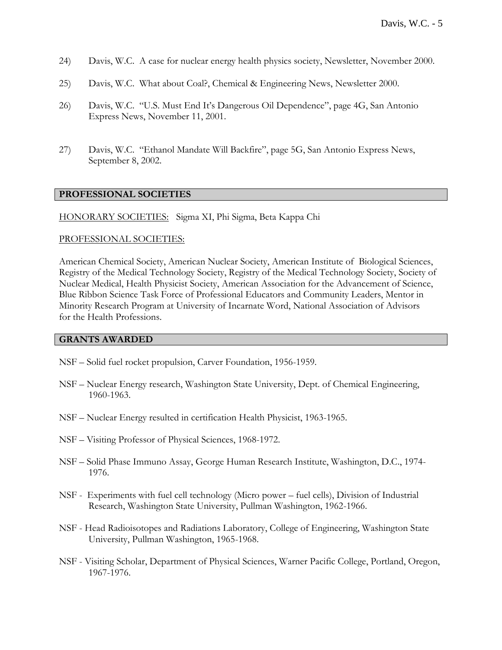- 24) Davis, W.C. A case for nuclear energy health physics society, Newsletter, November 2000.
- 25) Davis, W.C. What about Coal?, Chemical & Engineering News, Newsletter 2000.
- 26) Davis, W.C. "U.S. Must End It's Dangerous Oil Dependence", page 4G, San Antonio Express News, November 11, 2001.
- 27) Davis, W.C. "Ethanol Mandate Will Backfire", page 5G, San Antonio Express News, September 8, 2002.

# **PROFESSIONAL SOCIETIES**

HONORARY SOCIETIES: Sigma XI, Phi Sigma, Beta Kappa Chi

#### PROFESSIONAL SOCIETIES:

American Chemical Society, American Nuclear Society, American Institute of Biological Sciences, Registry of the Medical Technology Society, Registry of the Medical Technology Society, Society of Nuclear Medical, Health Physicist Society, American Association for the Advancement of Science, Blue Ribbon Science Task Force of Professional Educators and Community Leaders, Mentor in Minority Research Program at University of Incarnate Word, National Association of Advisors for the Health Professions.

#### **GRANTS AWARDED**

- NSF Solid fuel rocket propulsion, Carver Foundation, 1956-1959.
- NSF Nuclear Energy research, Washington State University, Dept. of Chemical Engineering, 1960-1963.
- NSF Nuclear Energy resulted in certification Health Physicist, 1963-1965.
- NSF Visiting Professor of Physical Sciences, 1968-1972.
- NSF Solid Phase Immuno Assay, George Human Research Institute, Washington, D.C., 1974- 1976.
- NSF Experiments with fuel cell technology (Micro power fuel cells), Division of Industrial Research, Washington State University, Pullman Washington, 1962-1966.
- NSF Head Radioisotopes and Radiations Laboratory, College of Engineering, Washington State University, Pullman Washington, 1965-1968.
- NSF Visiting Scholar, Department of Physical Sciences, Warner Pacific College, Portland, Oregon, 1967-1976.